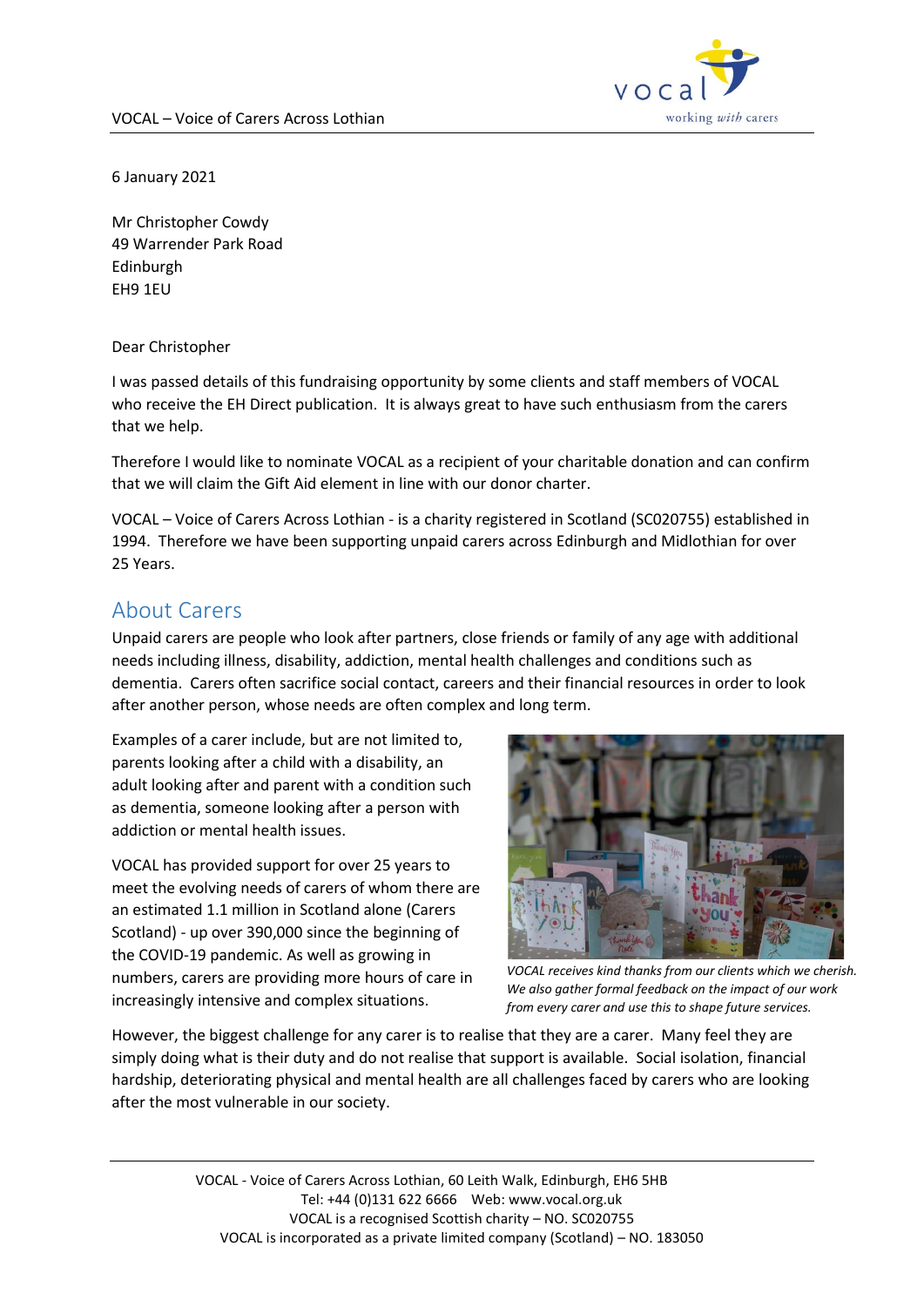

6 January 2021

Mr Christopher Cowdy 49 Warrender Park Road Edinburgh EH9 1EU

Dear Christopher

I was passed details of this fundraising opportunity by some clients and staff members of VOCAL who receive the EH Direct publication. It is always great to have such enthusiasm from the carers that we help.

Therefore I would like to nominate VOCAL as a recipient of your charitable donation and can confirm that we will claim the Gift Aid element in line with our donor charter.

VOCAL – Voice of Carers Across Lothian - is a charity registered in Scotland (SC020755) established in 1994. Therefore we have been supporting unpaid carers across Edinburgh and Midlothian for over 25 Years.

## About Carers

Unpaid carers are people who look after partners, close friends or family of any age with additional needs including illness, disability, addiction, mental health challenges and conditions such as dementia. Carers often sacrifice social contact, careers and their financial resources in order to look after another person, whose needs are often complex and long term.

Examples of a carer include, but are not limited to, parents looking after a child with a disability, an adult looking after and parent with a condition such as dementia, someone looking after a person with addiction or mental health issues.

VOCAL has provided support for over 25 years to meet the evolving needs of carers of whom there are an estimated 1.1 million in Scotland alone (Carers Scotland) - up over 390,000 since the beginning of the COVID-19 pandemic. As well as growing in numbers, carers are providing more hours of care in increasingly intensive and complex situations.



*VOCAL receives kind thanks from our clients which we cherish. We also gather formal feedback on the impact of our work from every carer and use this to shape future services.*

However, the biggest challenge for any carer is to realise that they are a carer. Many feel they are simply doing what is their duty and do not realise that support is available. Social isolation, financial hardship, deteriorating physical and mental health are all challenges faced by carers who are looking after the most vulnerable in our society.

> VOCAL - Voice of Carers Across Lothian, 60 Leith Walk, Edinburgh, EH6 5HB Tel: +44 (0)131 622 6666 Web: www.vocal.org.uk VOCAL is a recognised Scottish charity – NO. SC020755 VOCAL is incorporated as a private limited company (Scotland) – NO. 183050